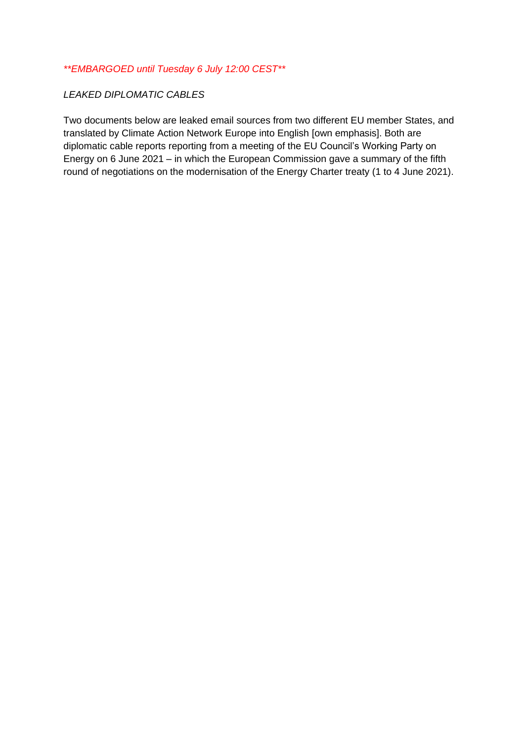*\*\*EMBARGOED until Tuesday 6 July 12:00 CEST\*\**

## *LEAKED DIPLOMATIC CABLES*

Two documents below are leaked email sources from two different EU member States, and translated by Climate Action Network Europe into English [own emphasis]. Both are diplomatic cable reports reporting from a meeting of the EU Council's Working Party on Energy on 6 June 2021 – in which the European Commission gave a summary of the fifth round of negotiations on the modernisation of the Energy Charter treaty (1 to 4 June 2021).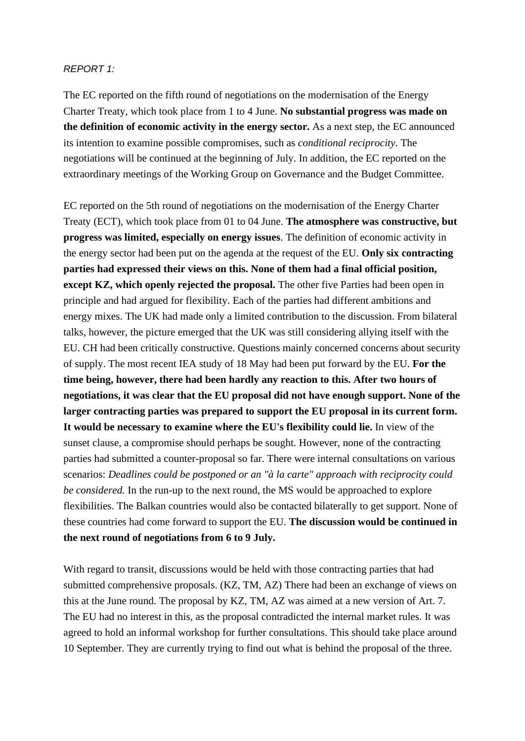## *REPORT 1:*

The EC reported on the fifth round of negotiations on the modernisation of the Energy Charter Treaty, which took place from 1 to 4 June. **No substantial progress was made on the definition of economic activity in the energy sector.** As a next step, the EC announced its intention to examine possible compromises, such as *conditional reciprocity*. The negotiations will be continued at the beginning of July. In addition, the EC reported on the extraordinary meetings of the Working Group on Governance and the Budget Committee.

EC reported on the 5th round of negotiations on the modernisation of the Energy Charter Treaty (ECT), which took place from 01 to 04 June. **The atmosphere was constructive, but progress was limited, especially on energy issues**. The definition of economic activity in the energy sector had been put on the agenda at the request of the EU. **Only six contracting parties had expressed their views on this. None of them had a final official position, except KZ, which openly rejected the proposal.** The other five Parties had been open in principle and had argued for flexibility. Each of the parties had different ambitions and energy mixes. The UK had made only a limited contribution to the discussion. From bilateral talks, however, the picture emerged that the UK was still considering allying itself with the EU. CH had been critically constructive. Questions mainly concerned concerns about security of supply. The most recent IEA study of 18 May had been put forward by the EU. **For the time being, however, there had been hardly any reaction to this. After two hours of negotiations, it was clear that the EU proposal did not have enough support. None of the larger contracting parties was prepared to support the EU proposal in its current form. It would be necessary to examine where the EU's flexibility could lie.** In view of the sunset clause, a compromise should perhaps be sought. However, none of the contracting parties had submitted a counter-proposal so far. There were internal consultations on various scenarios: *Deadlines could be postponed or an "à la carte" approach with reciprocity could be considered.* In the run-up to the next round, the MS would be approached to explore flexibilities. The Balkan countries would also be contacted bilaterally to get support. None of these countries had come forward to support the EU. **The discussion would be continued in the next round of negotiations from 6 to 9 July.**

With regard to transit, discussions would be held with those contracting parties that had submitted comprehensive proposals. (KZ, TM, AZ) There had been an exchange of views on this at the June round. The proposal by KZ, TM, AZ was aimed at a new version of Art. 7. The EU had no interest in this, as the proposal contradicted the internal market rules. It was agreed to hold an informal workshop for further consultations. This should take place around 10 September. They are currently trying to find out what is behind the proposal of the three.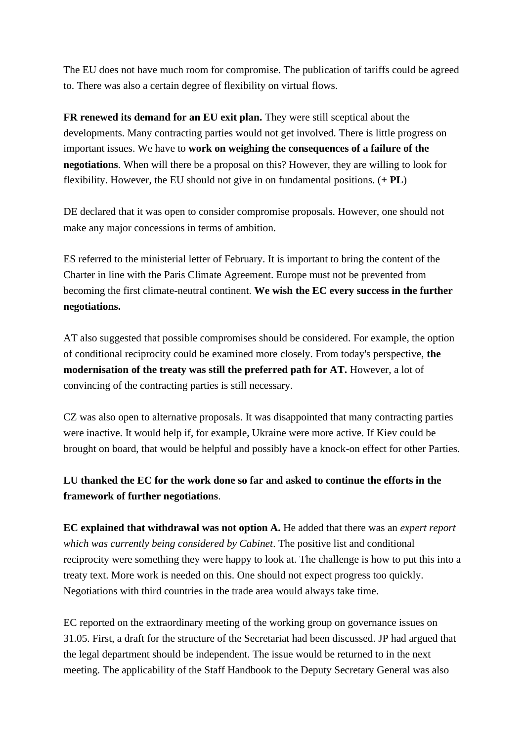The EU does not have much room for compromise. The publication of tariffs could be agreed to. There was also a certain degree of flexibility on virtual flows.

**FR renewed its demand for an EU exit plan.** They were still sceptical about the developments. Many contracting parties would not get involved. There is little progress on important issues. We have to **work on weighing the consequences of a failure of the negotiations**. When will there be a proposal on this? However, they are willing to look for flexibility. However, the EU should not give in on fundamental positions. (**+ PL**)

DE declared that it was open to consider compromise proposals. However, one should not make any major concessions in terms of ambition.

ES referred to the ministerial letter of February. It is important to bring the content of the Charter in line with the Paris Climate Agreement. Europe must not be prevented from becoming the first climate-neutral continent. **We wish the EC every success in the further negotiations.**

AT also suggested that possible compromises should be considered. For example, the option of conditional reciprocity could be examined more closely. From today's perspective, **the modernisation of the treaty was still the preferred path for AT.** However, a lot of convincing of the contracting parties is still necessary.

CZ was also open to alternative proposals. It was disappointed that many contracting parties were inactive. It would help if, for example, Ukraine were more active. If Kiev could be brought on board, that would be helpful and possibly have a knock-on effect for other Parties.

## **LU thanked the EC for the work done so far and asked to continue the efforts in the framework of further negotiations**.

**EC explained that withdrawal was not option A.** He added that there was an *expert report which was currently being considered by Cabinet*. The positive list and conditional reciprocity were something they were happy to look at. The challenge is how to put this into a treaty text. More work is needed on this. One should not expect progress too quickly. Negotiations with third countries in the trade area would always take time.

EC reported on the extraordinary meeting of the working group on governance issues on 31.05. First, a draft for the structure of the Secretariat had been discussed. JP had argued that the legal department should be independent. The issue would be returned to in the next meeting. The applicability of the Staff Handbook to the Deputy Secretary General was also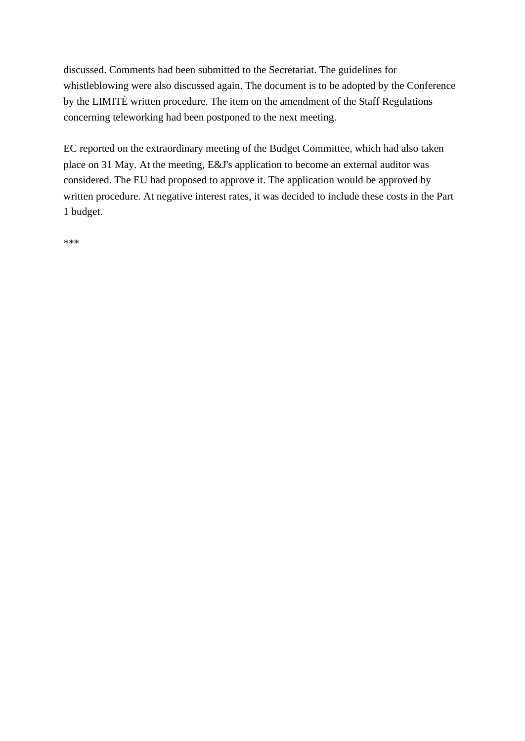discussed. Comments had been submitted to the Secretariat. The guidelines for whistleblowing were also discussed again. The document is to be adopted by the Conference by the LIMITÈ written procedure. The item on the amendment of the Staff Regulations concerning teleworking had been postponed to the next meeting.

EC reported on the extraordinary meeting of the Budget Committee, which had also taken place on 31 May. At the meeting, E&J's application to become an external auditor was considered. The EU had proposed to approve it. The application would be approved by written procedure. At negative interest rates, it was decided to include these costs in the Part 1 budget.

\*\*\*